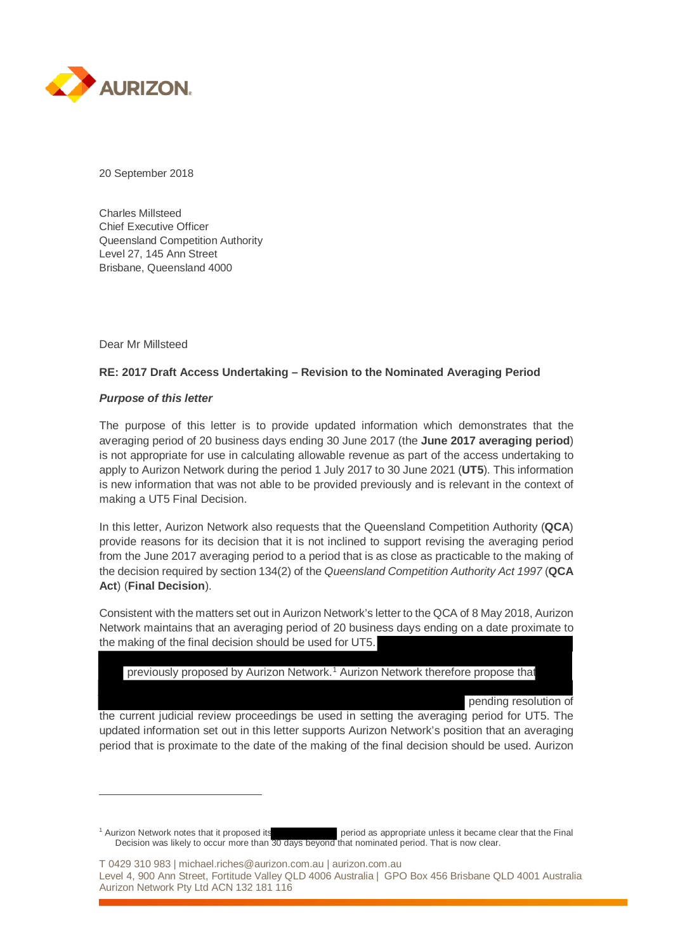

20 September 2018

Charles Millsteed Chief Executive Officer Queensland Competition Authority Level 27, 145 Ann Street Brisbane, Queensland 4000

Dear Mr Millsteed

 $\overline{a}$ 

### **RE: 2017 Draft Access Undertaking – Revision to the Nominated Averaging Period**

#### *Purpose of this letter*

The purpose of this letter is to provide updated information which demonstrates that the averaging period of 20 business days ending 30 June 2017 (the **June 2017 averaging period**) is not appropriate for use in calculating allowable revenue as part of the access undertaking to apply to Aurizon Network during the period 1 July 2017 to 30 June 2021 (**UT5**). This information is new information that was not able to be provided previously and is relevant in the context of making a UT5 Final Decision.

In this letter, Aurizon Network also requests that the Queensland Competition Authority (**QCA**) provide reasons for its decision that it is not inclined to support revising the averaging period from the June 2017 averaging period to a period that is as close as practicable to the making of the decision required by section 134(2) of the *Queensland Competition Authority Act 1997* (**QCA Act**) (**Final Decision**).

Consistent with the matters set out in Aurizon Network's letter to the QCA of 8 May 2018, Aurizon Network maintains that an averaging period of 20 business days ending on a date proximate to the making of the final decision should be used for UT5.

#### previously proposed by Aurizon Network.<sup>1</sup> Aurizon Network therefore propose that

#### pending resolution of

the current judicial review proceedings be used in setting the averaging period for UT5. The updated information set out in this letter supports Aurizon Network's position that an averaging period that is proximate to the date of the making of the final decision should be used. Aurizon

T 0429 310 983 | michael.riches@aurizon.com.au | aurizon.com.au Level 4, 900 Ann Street, Fortitude Valley QLD 4006 Australia | GPO Box 456 Brisbane QLD 4001 Australia Aurizon Network Pty Ltd ACN 132 181 116

<sup>1</sup> Aurizon Network notes that it proposed its period as appropriate unless it became clear that the Final Decision was likely to occur more than 30 days beyond that nominated period. That is now clear.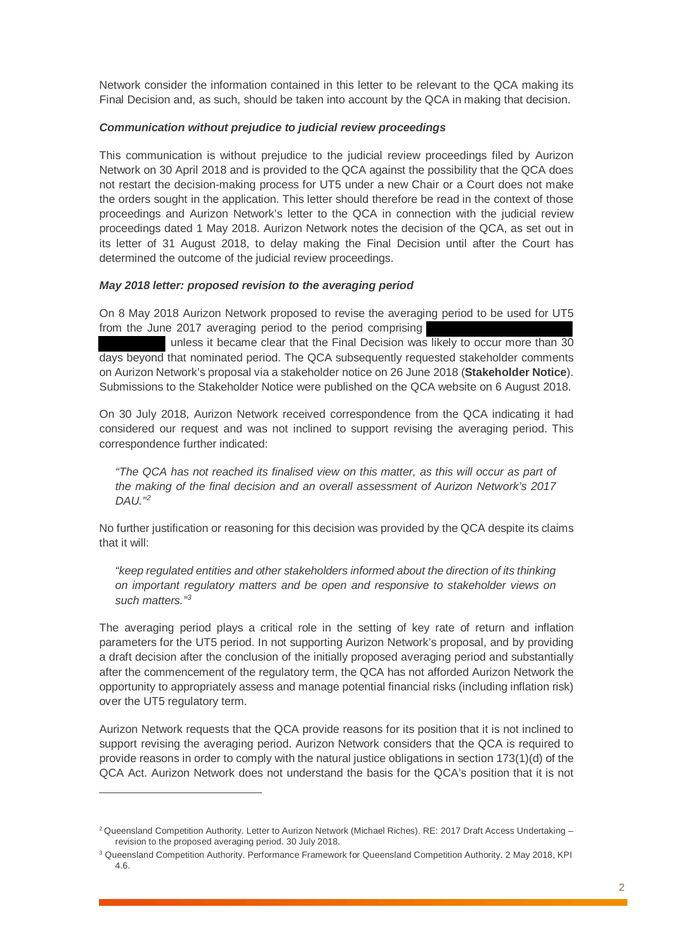Network consider the information contained in this letter to be relevant to the QCA making its Final Decision and, as such, should be taken into account by the QCA in making that decision.

### *Communication without prejudice to judicial review proceedings*

This communication is without prejudice to the judicial review proceedings filed by Aurizon Network on 30 April 2018 and is provided to the QCA against the possibility that the QCA does not restart the decision-making process for UT5 under a new Chair or a Court does not make the orders sought in the application. This letter should therefore be read in the context of those proceedings and Aurizon Network's letter to the QCA in connection with the judicial review proceedings dated 1 May 2018. Aurizon Network notes the decision of the QCA, as set out in its letter of 31 August 2018, to delay making the Final Decision until after the Court has determined the outcome of the judicial review proceedings.

### *May 2018 letter: proposed revision to the averaging period*

On 8 May 2018 Aurizon Network proposed to revise the averaging period to be used for UT5 from the June 2017 averaging period to the period comprising

unless it became clear that the Final Decision was likely to occur more than 30 days beyond that nominated period. The QCA subsequently requested stakeholder comments on Aurizon Network's proposal via a stakeholder notice on 26 June 2018 (**Stakeholder Notice**). Submissions to the Stakeholder Notice were published on the QCA website on 6 August 2018.

On 30 July 2018, Aurizon Network received correspondence from the QCA indicating it had considered our request and was not inclined to support revising the averaging period. This correspondence further indicated:

*"The QCA has not reached its finalised view on this matter, as this will occur as part of the making of the final decision and an overall assessment of Aurizon Network's 2017 DAU."[2](#page-1-0)* 

No further justification or reasoning for this decision was provided by the QCA despite its claims that it will:

*"keep regulated entities and other stakeholders informed about the direction of its thinking on important regulatory matters and be open and responsive to stakeholder views on such matters."[3](#page-1-1)*

The averaging period plays a critical role in the setting of key rate of return and inflation parameters for the UT5 period. In not supporting Aurizon Network's proposal, and by providing a draft decision after the conclusion of the initially proposed averaging period and substantially after the commencement of the regulatory term, the QCA has not afforded Aurizon Network the opportunity to appropriately assess and manage potential financial risks (including inflation risk) over the UT5 regulatory term.

Aurizon Network requests that the QCA provide reasons for its position that it is not inclined to support revising the averaging period. Aurizon Network considers that the QCA is required to provide reasons in order to comply with the natural justice obligations in section 173(1)(d) of the QCA Act. Aurizon Network does not understand the basis for the QCA's position that it is not

 $\overline{a}$ 

<span id="page-1-0"></span><sup>&</sup>lt;sup>2</sup> Queensland Competition Authority. Letter to Aurizon Network (Michael Riches). RE: 2017 Draft Access Undertaking revision to the proposed averaging period. 30 July 2018.

<span id="page-1-1"></span><sup>&</sup>lt;sup>3</sup> Queensland Competition Authority. Performance Framework for Queensland Competition Authority. 2 May 2018, KPI 4.6.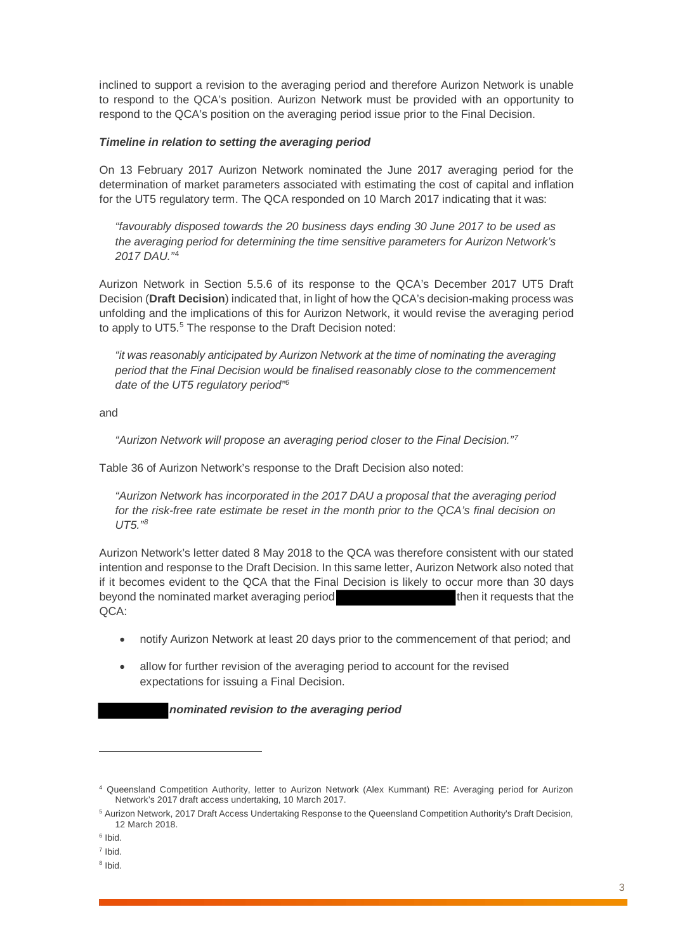inclined to support a revision to the averaging period and therefore Aurizon Network is unable to respond to the QCA's position. Aurizon Network must be provided with an opportunity to respond to the QCA's position on the averaging period issue prior to the Final Decision.

## *Timeline in relation to setting the averaging period*

On 13 February 2017 Aurizon Network nominated the June 2017 averaging period for the determination of market parameters associated with estimating the cost of capital and inflation for the UT5 regulatory term. The QCA responded on 10 March 2017 indicating that it was:

*"favourably disposed towards the 20 business days ending 30 June 2017 to be used as the averaging period for determining the time sensitive parameters for Aurizon Network's 2017 DAU."*[4](#page-2-0)

Aurizon Network in Section 5.5.6 of its response to the QCA's December 2017 UT5 Draft Decision (**Draft Decision**) indicated that, in light of how the QCA's decision-making process was unfolding and the implications of this for Aurizon Network, it would revise the averaging period to apply to UT5. [5](#page-2-1) The response to the Draft Decision noted:

*"it was reasonably anticipated by Aurizon Network at the time of nominating the averaging period that the Final Decision would be finalised reasonably close to the commencement date of the UT5 regulatory period["6](#page-2-2)* 

and

*"Aurizon Network will propose an averaging period closer to the Final Decision."[7](#page-2-3)*

Table 36 of Aurizon Network's response to the Draft Decision also noted:

*"Aurizon Network has incorporated in the 2017 DAU a proposal that the averaging period*  for the risk-free rate estimate be reset in the month prior to the QCA's final decision on *UT5." [8](#page-2-4)*

Aurizon Network's letter dated 8 May 2018 to the QCA was therefore consistent with our stated intention and response to the Draft Decision. In this same letter, Aurizon Network also noted that if it becomes evident to the QCA that the Final Decision is likely to occur more than 30 days beyond the nominated market averaging period the nominated market averaging period then it requests that the QCA:

- notify Aurizon Network at least 20 days prior to the commencement of that period; and
- allow for further revision of the averaging period to account for the revised expectations for issuing a Final Decision.

# *nominated revision to the averaging period*

 $\overline{a}$ 

<span id="page-2-0"></span><sup>4</sup> Queensland Competition Authority, letter to Aurizon Network (Alex Kummant) RE: Averaging period for Aurizon Network's 2017 draft access undertaking, 10 March 2017.

<span id="page-2-1"></span><sup>5</sup> Aurizon Network, 2017 Draft Access Undertaking Response to the Queensland Competition Authority's Draft Decision, 12 March 2018.

<span id="page-2-2"></span> $6$  Ibid.

<span id="page-2-3"></span><sup>7</sup> Ibid.

<span id="page-2-4"></span><sup>8</sup> Ibid.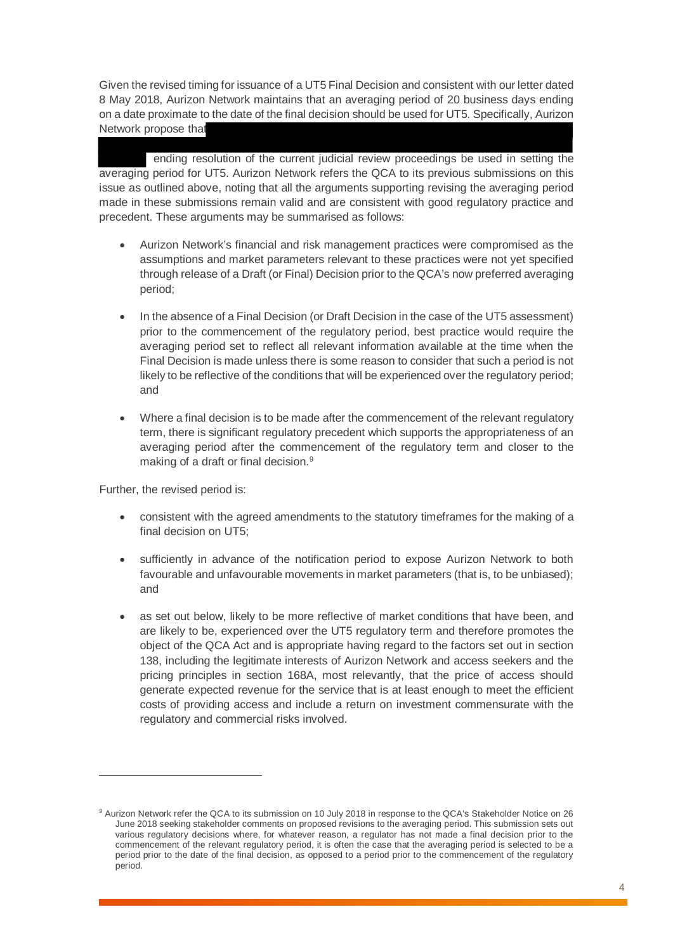Given the revised timing for issuance of a UT5 Final Decision and consistent with our letter dated 8 May 2018, Aurizon Network maintains that an averaging period of 20 business days ending on a date proximate to the date of the final decision should be used for UT5. Specifically, Aurizon Network propose that

ending resolution of the current judicial review proceedings be used in setting the averaging period for UT5. Aurizon Network refers the QCA to its previous submissions on this issue as outlined above, noting that all the arguments supporting revising the averaging period made in these submissions remain valid and are consistent with good regulatory practice and precedent. These arguments may be summarised as follows:

- Aurizon Network's financial and risk management practices were compromised as the assumptions and market parameters relevant to these practices were not yet specified through release of a Draft (or Final) Decision prior to the QCA's now preferred averaging period;
- In the absence of a Final Decision (or Draft Decision in the case of the UT5 assessment) prior to the commencement of the regulatory period, best practice would require the averaging period set to reflect all relevant information available at the time when the Final Decision is made unless there is some reason to consider that such a period is not likely to be reflective of the conditions that will be experienced over the regulatory period; and
- Where a final decision is to be made after the commencement of the relevant regulatory term, there is significant regulatory precedent which supports the appropriateness of an averaging period after the commencement of the regulatory term and closer to the making of a draft or final decision.<sup>[9](#page-3-0)</sup>

Further, the revised period is:

 $\overline{a}$ 

- consistent with the agreed amendments to the statutory timeframes for the making of a final decision on UT5;
- sufficiently in advance of the notification period to expose Aurizon Network to both favourable and unfavourable movements in market parameters (that is, to be unbiased); and
- as set out below, likely to be more reflective of market conditions that have been, and are likely to be, experienced over the UT5 regulatory term and therefore promotes the object of the QCA Act and is appropriate having regard to the factors set out in section 138, including the legitimate interests of Aurizon Network and access seekers and the pricing principles in section 168A, most relevantly, that the price of access should generate expected revenue for the service that is at least enough to meet the efficient costs of providing access and include a return on investment commensurate with the regulatory and commercial risks involved.

<span id="page-3-0"></span><sup>&</sup>lt;sup>9</sup> Aurizon Network refer the QCA to its submission on 10 July 2018 in response to the QCA's Stakeholder Notice on 26 June 2018 seeking stakeholder comments on proposed revisions to the averaging period. This submission sets out various regulatory decisions where, for whatever reason, a regulator has not made a final decision prior to the commencement of the relevant regulatory period, it is often the case that the averaging period is selected to be a period prior to the date of the final decision, as opposed to a period prior to the commencement of the regulatory period.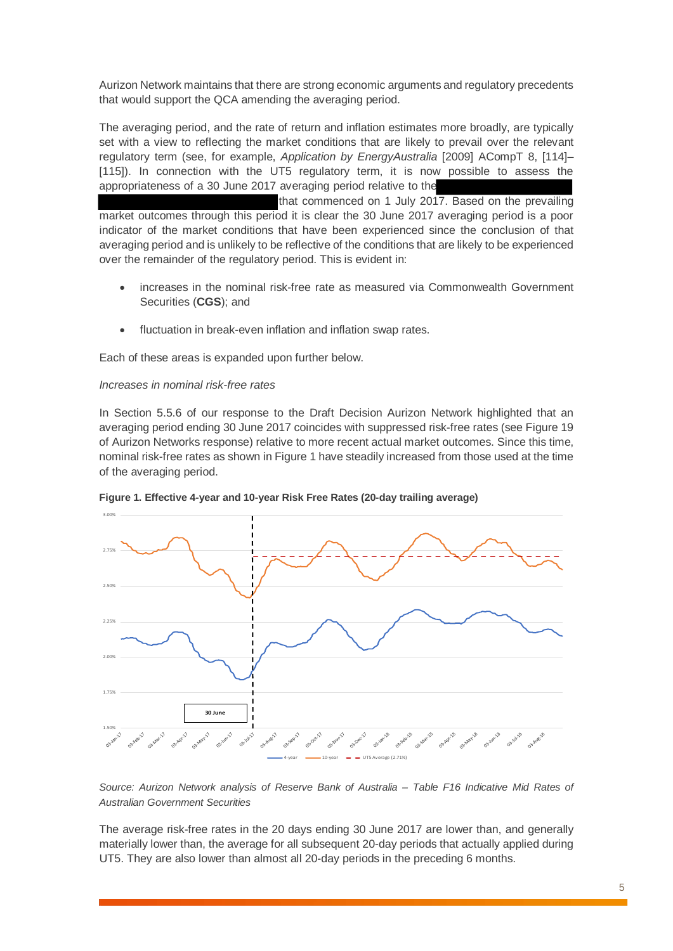Aurizon Network maintains that there are strong economic arguments and regulatory precedents that would support the QCA amending the averaging period.

The averaging period, and the rate of return and inflation estimates more broadly, are typically set with a view to reflecting the market conditions that are likely to prevail over the relevant regulatory term (see, for example, *Application by EnergyAustralia* [2009] ACompT 8, [114]– [115]). In connection with the UT5 regulatory term, it is now possible to assess the appropriateness of a 30 June 2017 averaging period relative to the

that commenced on 1 July 2017. Based on the prevailing market outcomes through this period it is clear the 30 June 2017 averaging period is a poor indicator of the market conditions that have been experienced since the conclusion of that averaging period and is unlikely to be reflective of the conditions that are likely to be experienced over the remainder of the regulatory period. This is evident in:

- increases in the nominal risk-free rate as measured via Commonwealth Government Securities (**CGS**); and
- fluctuation in break-even inflation and inflation swap rates.

Each of these areas is expanded upon further below.

### *Increases in nominal risk-free rates*

In Section 5.5.6 of our response to the Draft Decision Aurizon Network highlighted that an averaging period ending 30 June 2017 coincides with suppressed risk-free rates (see Figure 19 of Aurizon Networks response) relative to more recent actual market outcomes. Since this time, nominal risk-free rates as shown in [Figure 1](#page-4-0) have steadily increased from those used at the time of the averaging period.



<span id="page-4-0"></span>**Figure 1. Effective 4-year and 10-year Risk Free Rates (20-day trailing average)**

*Source: Aurizon Network analysis of Reserve Bank of Australia – Table F16 Indicative Mid Rates of Australian Government Securities* 

The average risk-free rates in the 20 days ending 30 June 2017 are lower than, and generally materially lower than, the average for all subsequent 20-day periods that actually applied during UT5. They are also lower than almost all 20-day periods in the preceding 6 months.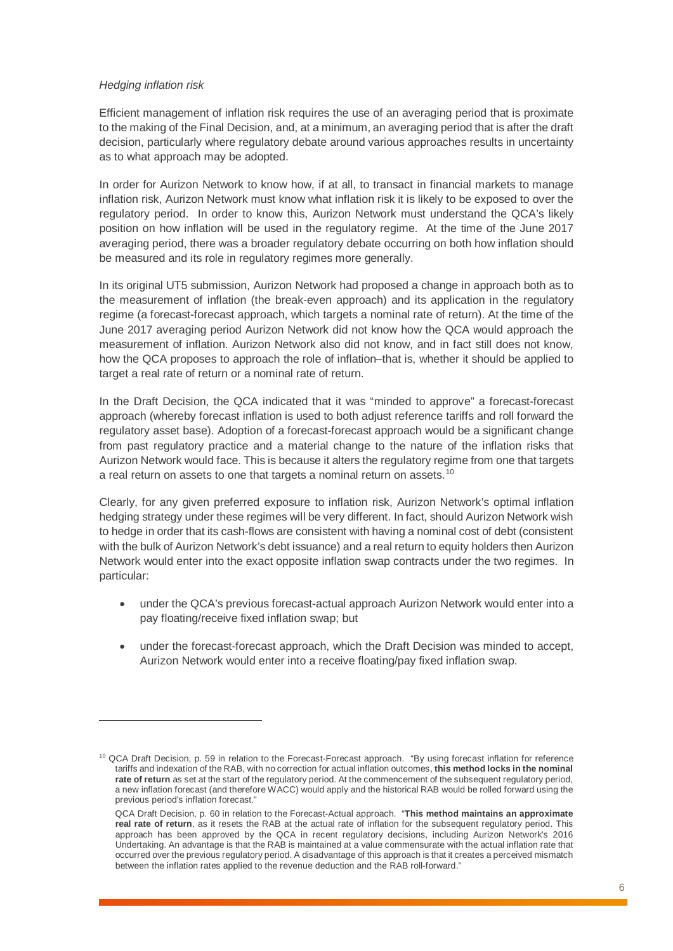### *Hedging inflation risk*

 $\overline{a}$ 

Efficient management of inflation risk requires the use of an averaging period that is proximate to the making of the Final Decision, and, at a minimum, an averaging period that is after the draft decision, particularly where regulatory debate around various approaches results in uncertainty as to what approach may be adopted.

In order for Aurizon Network to know how, if at all, to transact in financial markets to manage inflation risk, Aurizon Network must know what inflation risk it is likely to be exposed to over the regulatory period. In order to know this, Aurizon Network must understand the QCA's likely position on how inflation will be used in the regulatory regime. At the time of the June 2017 averaging period, there was a broader regulatory debate occurring on both how inflation should be measured and its role in regulatory regimes more generally.

In its original UT5 submission, Aurizon Network had proposed a change in approach both as to the measurement of inflation (the break-even approach) and its application in the regulatory regime (a forecast-forecast approach, which targets a nominal rate of return). At the time of the June 2017 averaging period Aurizon Network did not know how the QCA would approach the measurement of inflation. Aurizon Network also did not know, and in fact still does not know, how the QCA proposes to approach the role of inflation–that is, whether it should be applied to target a real rate of return or a nominal rate of return.

In the Draft Decision, the QCA indicated that it was "minded to approve" a forecast-forecast approach (whereby forecast inflation is used to both adjust reference tariffs and roll forward the regulatory asset base). Adoption of a forecast-forecast approach would be a significant change from past regulatory practice and a material change to the nature of the inflation risks that Aurizon Network would face. This is because it alters the regulatory regime from one that targets a real return on assets to one that targets a nominal return on assets.<sup>10</sup>

Clearly, for any given preferred exposure to inflation risk, Aurizon Network's optimal inflation hedging strategy under these regimes will be very different. In fact, should Aurizon Network wish to hedge in order that its cash-flows are consistent with having a nominal cost of debt (consistent with the bulk of Aurizon Network's debt issuance) and a real return to equity holders then Aurizon Network would enter into the exact opposite inflation swap contracts under the two regimes. In particular:

- under the QCA's previous forecast-actual approach Aurizon Network would enter into a pay floating/receive fixed inflation swap; but
- under the forecast-forecast approach, which the Draft Decision was minded to accept, Aurizon Network would enter into a receive floating/pay fixed inflation swap.

<span id="page-5-0"></span><sup>&</sup>lt;sup>10</sup> QCA Draft Decision, p. 59 in relation to the Forecast-Forecast approach. "By using forecast inflation for reference tariffs and indexation of the RAB, with no correction for actual inflation outcomes, **this method locks in the nominal rate of return** as set at the start of the regulatory period. At the commencement of the subsequent regulatory period, a new inflation forecast (and therefore WACC) would apply and the historical RAB would be rolled forward using the previous period's inflation forecast."

QCA Draft Decision, p. 60 in relation to the Forecast-Actual approach. "**This method maintains an approximate real rate of return**, as it resets the RAB at the actual rate of inflation for the subsequent regulatory period. This approach has been approved by the QCA in recent regulatory decisions, including Aurizon Network's 2016 Undertaking. An advantage is that the RAB is maintained at a value commensurate with the actual inflation rate that occurred over the previous regulatory period. A disadvantage of this approach is that it creates a perceived mismatch between the inflation rates applied to the revenue deduction and the RAB roll-forward."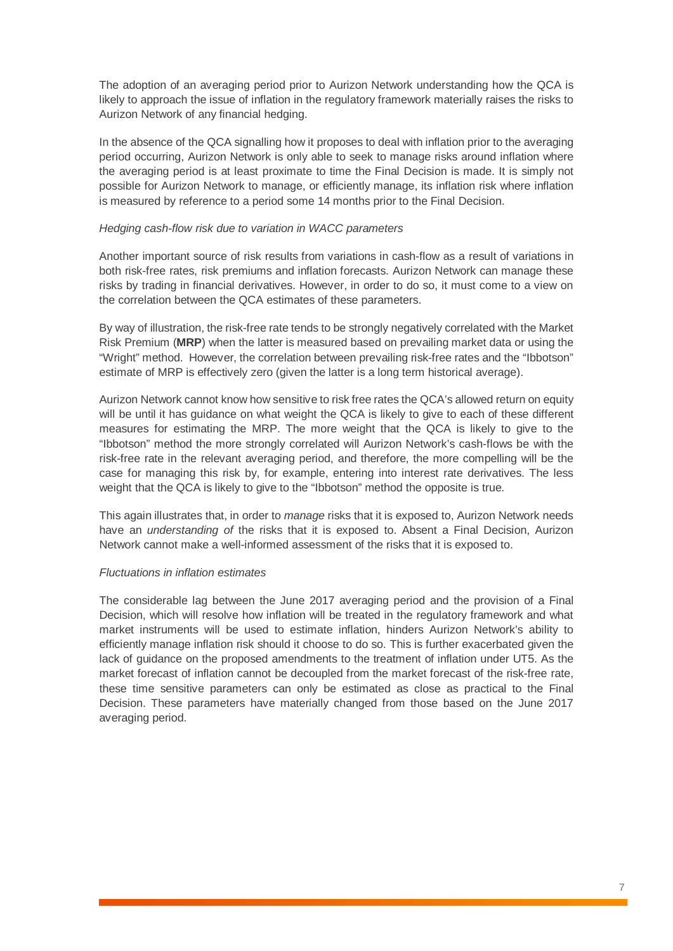The adoption of an averaging period prior to Aurizon Network understanding how the QCA is likely to approach the issue of inflation in the regulatory framework materially raises the risks to Aurizon Network of any financial hedging.

In the absence of the QCA signalling how it proposes to deal with inflation prior to the averaging period occurring, Aurizon Network is only able to seek to manage risks around inflation where the averaging period is at least proximate to time the Final Decision is made. It is simply not possible for Aurizon Network to manage, or efficiently manage, its inflation risk where inflation is measured by reference to a period some 14 months prior to the Final Decision.

### *Hedging cash-flow risk due to variation in WACC parameters*

Another important source of risk results from variations in cash-flow as a result of variations in both risk-free rates, risk premiums and inflation forecasts. Aurizon Network can manage these risks by trading in financial derivatives. However, in order to do so, it must come to a view on the correlation between the QCA estimates of these parameters.

By way of illustration, the risk-free rate tends to be strongly negatively correlated with the Market Risk Premium (**MRP**) when the latter is measured based on prevailing market data or using the "Wright" method. However, the correlation between prevailing risk-free rates and the "Ibbotson" estimate of MRP is effectively zero (given the latter is a long term historical average).

Aurizon Network cannot know how sensitive to risk free rates the QCA's allowed return on equity will be until it has guidance on what weight the QCA is likely to give to each of these different measures for estimating the MRP. The more weight that the QCA is likely to give to the "Ibbotson" method the more strongly correlated will Aurizon Network's cash-flows be with the risk-free rate in the relevant averaging period, and therefore, the more compelling will be the case for managing this risk by, for example, entering into interest rate derivatives. The less weight that the QCA is likely to give to the "Ibbotson" method the opposite is true.

This again illustrates that, in order to *manage* risks that it is exposed to, Aurizon Network needs have an *understanding of* the risks that it is exposed to. Absent a Final Decision, Aurizon Network cannot make a well-informed assessment of the risks that it is exposed to.

### *Fluctuations in inflation estimates*

The considerable lag between the June 2017 averaging period and the provision of a Final Decision, which will resolve how inflation will be treated in the regulatory framework and what market instruments will be used to estimate inflation, hinders Aurizon Network's ability to efficiently manage inflation risk should it choose to do so. This is further exacerbated given the lack of guidance on the proposed amendments to the treatment of inflation under UT5. As the market forecast of inflation cannot be decoupled from the market forecast of the risk-free rate, these time sensitive parameters can only be estimated as close as practical to the Final Decision. These parameters have materially changed from those based on the June 2017 averaging period.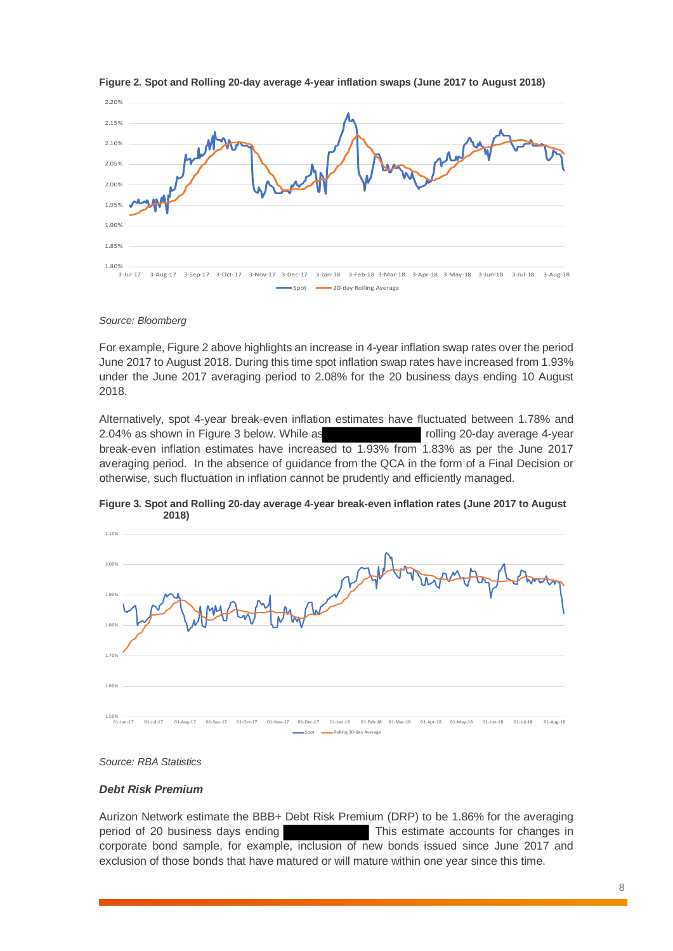

#### <span id="page-7-0"></span>**Figure 2. Spot and Rolling 20-day average 4-year inflation swaps (June 2017 to August 2018)**

#### *Source: Bloomberg*

<span id="page-7-1"></span>For example, [Figure 2](#page-7-0) above highlights an increase in 4-year inflation swap rates over the period June 2017 to August 2018. During this time spot inflation swap rates have increased from 1.93% under the June 2017 averaging period to 2.08% for the 20 business days ending 10 August 2018.

Alternatively, spot 4-year break-even inflation estimates have fluctuated between 1.78% and 2.04% as shown in [Figure 3](#page-7-1) below. While as rolling 20-day average 4-year break-even inflation estimates have increased to 1.93% from 1.83% as per the June 2017 averaging period. In the absence of guidance from the QCA in the form of a Final Decision or otherwise, such fluctuation in inflation cannot be prudently and efficiently managed.



**Figure 3. Spot and Rolling 20-day average 4-year break-even inflation rates (June 2017 to August 2018)**

### *Source: RBA Statistics*

#### *Debt Risk Premium*

Aurizon Network estimate the BBB+ Debt Risk Premium (DRP) to be 1.86% for the averaging period of 20 business days ending This estimate accounts for changes in corporate bond sample, for example, inclusion of new bonds issued since June 2017 and exclusion of those bonds that have matured or will mature within one year since this time.